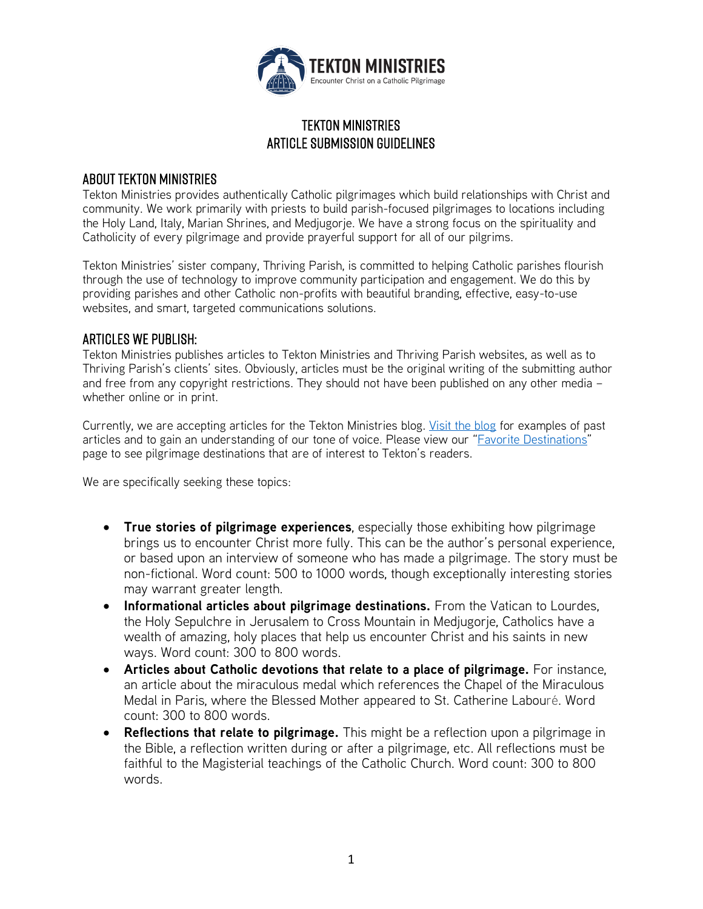

# Tekton Ministries Article submission guidelines

# About Tekton Ministries

Tekton Ministries provides authentically Catholic pilgrimages which build relationships with Christ and community. We work primarily with priests to build parish-focused pilgrimages to locations including the Holy Land, Italy, Marian Shrines, and Medjugorje. We have a strong focus on the spirituality and Catholicity of every pilgrimage and provide prayerful support for all of our pilgrims.

Tekton Ministries' sister company, Thriving Parish, is committed to helping Catholic parishes flourish through the use of technology to improve community participation and engagement. We do this by providing parishes and other Catholic non-profits with beautiful branding, effective, easy-to-use websites, and smart, targeted communications solutions.

#### Articles We Publish:

Tekton Ministries publishes articles to Tekton Ministries and Thriving Parish websites, as well as to Thriving Parish's clients' sites. Obviously, articles must be the original writing of the submitting author and free from any copyright restrictions. They should not have been published on any other media – whether online or in print.

Currently, we are accepting articles for the Tekton Ministries blog. [Visit the blog](https://www.tektonministries.org/tekton-blog/) for examples of past articles and to gain an understanding of our tone of voice. Please view our "Favorite [Destinations"](https://www.tektonministries.org/catholic-pilgrimages/favorite-destinations/) page to see pilgrimage destinations that are of interest to Tekton's readers.

We are specifically seeking these topics:

- **True stories of pilgrimage experiences**, especially those exhibiting how pilgrimage brings us to encounter Christ more fully. This can be the author's personal experience, or based upon an interview of someone who has made a pilgrimage. The story must be non-fictional. Word count: 500 to 1000 words, though exceptionally interesting stories may warrant greater length.
- **Informational articles about pilgrimage destinations.** From the Vatican to Lourdes, the Holy Sepulchre in Jerusalem to Cross Mountain in Medjugorje, Catholics have a wealth of amazing, holy places that help us encounter Christ and his saints in new ways. Word count: 300 to 800 words.
- **Articles about Catholic devotions that relate to a place of pilgrimage.** For instance, an article about the miraculous medal which references the Chapel of the Miraculous Medal in Paris, where the Blessed Mother appeared to St. Catherine Labouré. Word count: 300 to 800 words.
- **Reflections that relate to pilgrimage.** This might be a reflection upon a pilgrimage in the Bible, a reflection written during or after a pilgrimage, etc. All reflections must be faithful to the Magisterial teachings of the Catholic Church. Word count: 300 to 800 words.